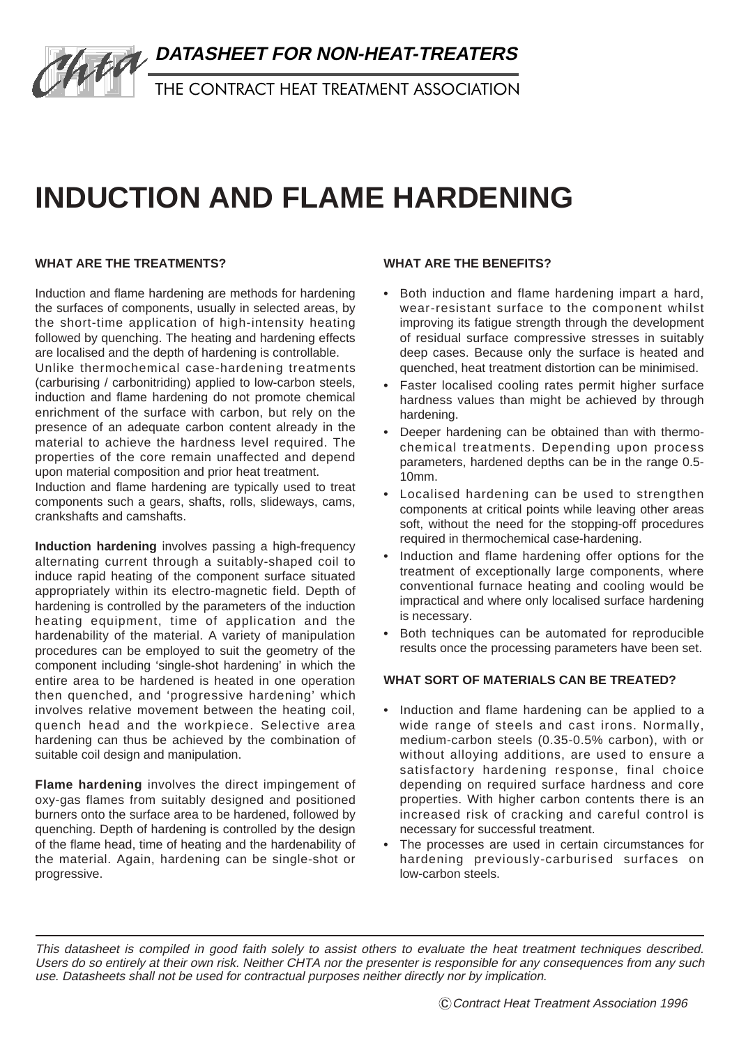

# **INDUCTION AND FLAME HARDENING**

# **WHAT ARE THE TREATMENTS?**

Induction and flame hardening are methods for hardening the surfaces of components, usually in selected areas, by the short-time application of high-intensity heating followed by quenching. The heating and hardening effects are localised and the depth of hardening is controllable.

Unlike thermochemical case-hardening treatments (carburising / carbonitriding) applied to low-carbon steels, induction and flame hardening do not promote chemical enrichment of the surface with carbon, but rely on the presence of an adequate carbon content already in the material to achieve the hardness level required. The properties of the core remain unaffected and depend upon material composition and prior heat treatment.

Induction and flame hardening are typically used to treat components such a gears, shafts, rolls, slideways, cams, crankshafts and camshafts.

**Induction hardening** involves passing a high-frequency alternating current through a suitably-shaped coil to induce rapid heating of the component surface situated appropriately within its electro-magnetic field. Depth of hardening is controlled by the parameters of the induction heating equipment, time of application and the hardenability of the material. A variety of manipulation procedures can be employed to suit the geometry of the component including 'single-shot hardening' in which the entire area to be hardened is heated in one operation then quenched, and 'progressive hardening' which involves relative movement between the heating coil, quench head and the workpiece. Selective area hardening can thus be achieved by the combination of suitable coil design and manipulation.

**Flame hardening** involves the direct impingement of oxy-gas flames from suitably designed and positioned burners onto the surface area to be hardened, followed by quenching. Depth of hardening is controlled by the design of the flame head, time of heating and the hardenability of the material. Again, hardening can be single-shot or progressive.

#### **WHAT ARE THE BENEFITS?**

- **•** Both induction and flame hardening impart a hard, wear-resistant surface to the component whilst improving its fatigue strength through the development of residual surface compressive stresses in suitably deep cases. Because only the surface is heated and quenched, heat treatment distortion can be minimised.
- **•** Faster localised cooling rates permit higher surface hardness values than might be achieved by through hardening.
- **•** Deeper hardening can be obtained than with thermochemical treatments. Depending upon process parameters, hardened depths can be in the range 0.5- 10mm.
- **•** Localised hardening can be used to strengthen components at critical points while leaving other areas soft, without the need for the stopping-off procedures required in thermochemical case-hardening.
- **•** Induction and flame hardening offer options for the treatment of exceptionally large components, where conventional furnace heating and cooling would be impractical and where only localised surface hardening is necessary.
- **•** Both techniques can be automated for reproducible results once the processing parameters have been set.

## **WHAT SORT OF MATERIALS CAN BE TREATED?**

- **•** Induction and flame hardening can be applied to a wide range of steels and cast irons. Normally, medium-carbon steels (0.35-0.5% carbon), with or without alloying additions, are used to ensure a satisfactory hardening response, final choice depending on required surface hardness and core properties. With higher carbon contents there is an increased risk of cracking and careful control is necessary for successful treatment.
- **•** The processes are used in certain circumstances for hardening previously-carburised surfaces on low-carbon steels.

This datasheet is compiled in good faith solely to assist others to evaluate the heat treatment techniques described. Users do so entirely at their own risk. Neither CHTA nor the presenter is responsible for any consequences from any such use. Datasheets shall not be used for contractual purposes neither directly nor by implication.